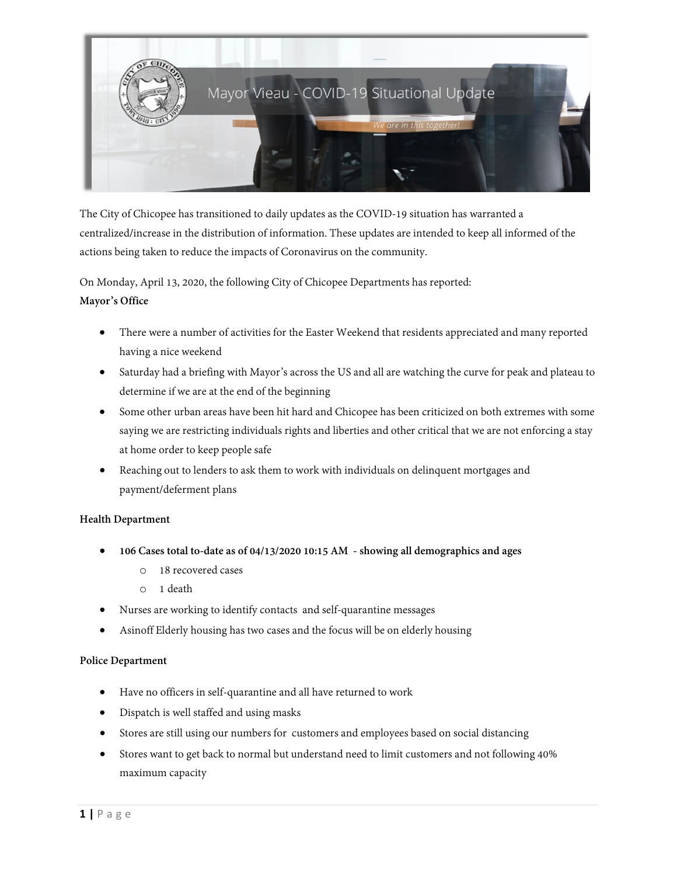

The City of Chicopee has transitioned to daily updates as the COVID-19 situation has warranted a centralized/increase in the distribution of information. These updates are intended to keep all informed of the actions being taken to reduce the impacts of Coronavirus on the community.

On Monday, April 13, 2020, the following City of Chicopee Departments has reported:

### **Mayor's Office**

- There were a number of activities for the Easter Weekend that residents appreciated and many reported having a nice weekend
- Saturday had a briefing with Mayor's across the US and all are watching the curve for peak and plateau to determine if we are at the end of the beginning
- Some other urban areas have been hit hard and Chicopee has been criticized on both extremes with some saying we are restricting individuals rights and liberties and other critical that we are not enforcing a stay at home order to keep people safe
- Reaching out to lenders to ask them to work with individuals on delinquent mortgages and payment/deferment plans

### **Health Department**

- **106 Cases total to-date as of 04/13/2020 10:15 AM - showing all demographics and ages**
	- o 18 recovered cases
	- o 1 death
- Nurses are working to identify contacts and self-quarantine messages
- Asinoff Elderly housing has two cases and the focus will be on elderly housing

### **Police Department**

- Have no officers in self-quarantine and all have returned to work
- Dispatch is well staffed and using masks
- Stores are still using our numbers for customers and employees based on social distancing
- Stores want to get back to normal but understand need to limit customers and not following 40% maximum capacity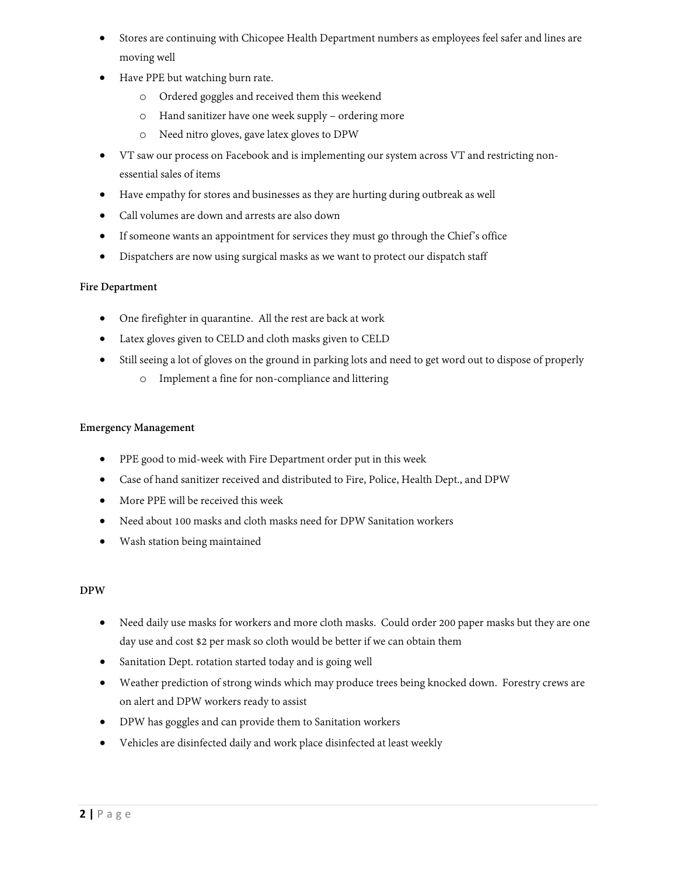- Stores are continuing with Chicopee Health Department numbers as employees feel safer and lines are moving well
- Have PPE but watching burn rate.
	- o Ordered goggles and received them this weekend
	- o Hand sanitizer have one week supply ordering more
	- o Need nitro gloves, gave latex gloves to DPW
- VT saw our process on Facebook and is implementing our system across VT and restricting nonessential sales of items
- Have empathy for stores and businesses as they are hurting during outbreak as well
- Call volumes are down and arrests are also down
- If someone wants an appointment for services they must go through the Chief's office
- Dispatchers are now using surgical masks as we want to protect our dispatch staff

# **Fire Department**

- One firefighter in quarantine. All the rest are back at work
- Latex gloves given to CELD and cloth masks given to CELD
- Still seeing a lot of gloves on the ground in parking lots and need to get word out to dispose of properly
	- o Implement a fine for non-compliance and littering

### **Emergency Management**

- PPE good to mid-week with Fire Department order put in this week
- Case of hand sanitizer received and distributed to Fire, Police, Health Dept., and DPW
- More PPE will be received this week
- Need about 100 masks and cloth masks need for DPW Sanitation workers
- Wash station being maintained

# **DPW**

- Need daily use masks for workers and more cloth masks. Could order 200 paper masks but they are one day use and cost \$2 per mask so cloth would be better if we can obtain them
- Sanitation Dept. rotation started today and is going well
- Weather prediction of strong winds which may produce trees being knocked down. Forestry crews are on alert and DPW workers ready to assist
- DPW has goggles and can provide them to Sanitation workers
- Vehicles are disinfected daily and work place disinfected at least weekly